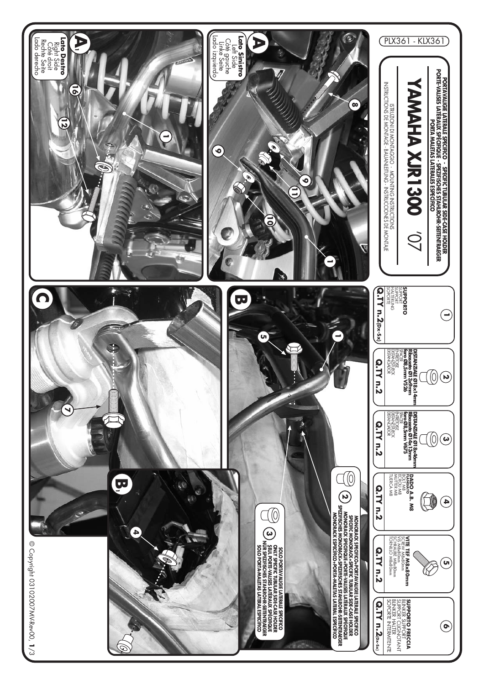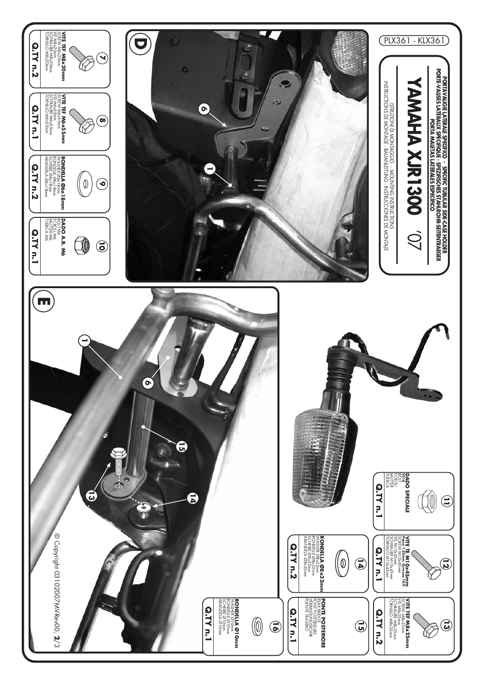